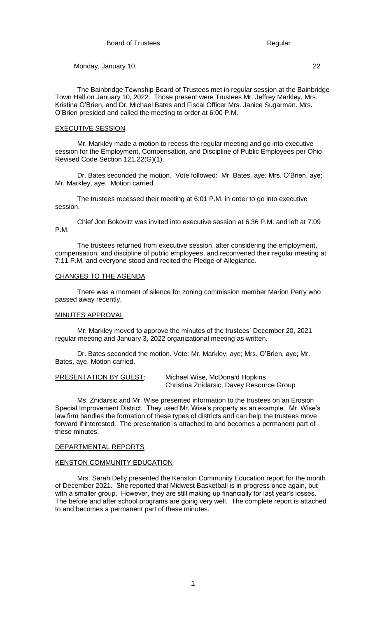The Bainbridge Township Board of Trustees met in regular session at the Bainbridge Town Hall on January 10, 2022. Those present were Trustees Mr. Jeffrey Markley, Mrs. Kristina O'Brien, and Dr. Michael Bates and Fiscal Officer Mrs. Janice Sugarman. Mrs. O'Brien presided and called the meeting to order at 6:00 P.M.

### EXECUTIVE SESSION

Mr. Markley made a motion to recess the regular meeting and go into executive session for the Employment, Compensation, and Discipline of Public Employees per Ohio Revised Code Section 121.22(G)(1).

Dr. Bates seconded the motion. Vote followed: Mr. Bates, aye; Mrs. O'Brien, aye; Mr. Markley, aye. Motion carried.

The trustees recessed their meeting at 6:01 P.M. in order to go into executive session.

Chief Jon Bokovitz was invited into executive session at 6:36 P.M. and left at 7:09 P.M.

The trustees returned from executive session, after considering the employment, compensation, and discipline of public employees, and reconvened their regular meeting at 7:11 P.M. and everyone stood and recited the Pledge of Allegiance.

# CHANGES TO THE AGENDA

There was a moment of silence for zoning commission member Marion Perry who passed away recently.

## MINUTES APPROVAL

Mr. Markley moved to approve the minutes of the trustees' December 20, 2021 regular meeting and January 3, 2022 organizational meeting as written.

Dr. Bates seconded the motion. Vote: Mr. Markley, aye; Mrs. O'Brien, aye; Mr. Bates, aye. Motion carried.

PRESENTATION BY GUEST: Michael Wise, McDonald Hopkins Christina Znidarsic, Davey Resource Group

Ms. Znidarsic and Mr. Wise presented information to the trustees on an Erosion Special Improvement District. They used Mr. Wise's property as an example. Mr. Wise's law firm handles the formation of these types of districts and can help the trustees move forward if interested. The presentation is attached to and becomes a permanent part of these minutes.

# DEPARTMENTAL REPORTS

# KENSTON COMMUNITY EDUCATION

Mrs. Sarah Delly presented the Kenston Community Education report for the month of December 2021. She reported that Midwest Basketball is in progress once again, but with a smaller group. However, they are still making up financially for last year's losses. The before and after school programs are going very well. The complete report is attached to and becomes a permanent part of these minutes.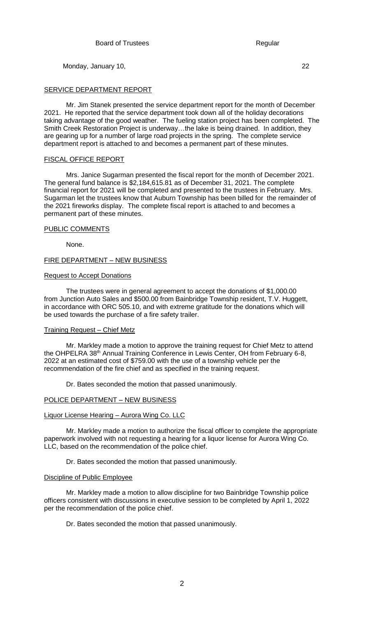# SERVICE DEPARTMENT REPORT

Mr. Jim Stanek presented the service department report for the month of December 2021. He reported that the service department took down all of the holiday decorations taking advantage of the good weather. The fueling station project has been completed. The Smith Creek Restoration Project is underway…the lake is being drained. In addition, they are gearing up for a number of large road projects in the spring. The complete service department report is attached to and becomes a permanent part of these minutes.

# FISCAL OFFICE REPORT

Mrs. Janice Sugarman presented the fiscal report for the month of December 2021. The general fund balance is \$2,184,615.81 as of December 31, 2021. The complete financial report for 2021 will be completed and presented to the trustees in February. Mrs. Sugarman let the trustees know that Auburn Township has been billed for the remainder of the 2021 fireworks display. The complete fiscal report is attached to and becomes a permanent part of these minutes.

# PUBLIC COMMENTS

None.

# FIRE DEPARTMENT – NEW BUSINESS

# Request to Accept Donations

The trustees were in general agreement to accept the donations of \$1,000.00 from Junction Auto Sales and \$500.00 from Bainbridge Township resident, T.V. Huggett, in accordance with ORC 505.10, and with extreme gratitude for the donations which will be used towards the purchase of a fire safety trailer.

## Training Request – Chief Metz

Mr. Markley made a motion to approve the training request for Chief Metz to attend the OHPELRA 38<sup>th</sup> Annual Training Conference in Lewis Center, OH from February 6-8, 2022 at an estimated cost of \$759.00 with the use of a township vehicle per the recommendation of the fire chief and as specified in the training request.

Dr. Bates seconded the motion that passed unanimously.

# POLICE DEPARTMENT – NEW BUSINESS

# Liquor License Hearing – Aurora Wing Co. LLC

Mr. Markley made a motion to authorize the fiscal officer to complete the appropriate paperwork involved with not requesting a hearing for a liquor license for Aurora Wing Co. LLC, based on the recommendation of the police chief.

Dr. Bates seconded the motion that passed unanimously.

## Discipline of Public Employee

Mr. Markley made a motion to allow discipline for two Bainbridge Township police officers consistent with discussions in executive session to be completed by April 1, 2022 per the recommendation of the police chief.

Dr. Bates seconded the motion that passed unanimously.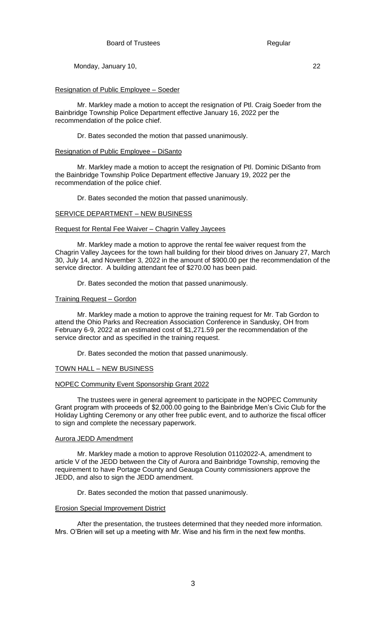## Resignation of Public Employee – Soeder

Mr. Markley made a motion to accept the resignation of Ptl. Craig Soeder from the Bainbridge Township Police Department effective January 16, 2022 per the recommendation of the police chief.

Dr. Bates seconded the motion that passed unanimously.

#### Resignation of Public Employee – DiSanto

Mr. Markley made a motion to accept the resignation of Ptl. Dominic DiSanto from the Bainbridge Township Police Department effective January 19, 2022 per the recommendation of the police chief.

Dr. Bates seconded the motion that passed unanimously.

## SERVICE DEPARTMENT – NEW BUSINESS

### Request for Rental Fee Waiver – Chagrin Valley Jaycees

Mr. Markley made a motion to approve the rental fee waiver request from the Chagrin Valley Jaycees for the town hall building for their blood drives on January 27, March 30, July 14, and November 3, 2022 in the amount of \$900.00 per the recommendation of the service director. A building attendant fee of \$270.00 has been paid.

Dr. Bates seconded the motion that passed unanimously.

### Training Request – Gordon

Mr. Markley made a motion to approve the training request for Mr. Tab Gordon to attend the Ohio Parks and Recreation Association Conference in Sandusky, OH from February 6-9, 2022 at an estimated cost of \$1,271.59 per the recommendation of the service director and as specified in the training request.

Dr. Bates seconded the motion that passed unanimously.

## TOWN HALL – NEW BUSINESS

## NOPEC Community Event Sponsorship Grant 2022

The trustees were in general agreement to participate in the NOPEC Community Grant program with proceeds of \$2,000.00 going to the Bainbridge Men's Civic Club for the Holiday Lighting Ceremony or any other free public event, and to authorize the fiscal officer to sign and complete the necessary paperwork.

#### Aurora JEDD Amendment

Mr. Markley made a motion to approve Resolution 01102022-A, amendment to article V of the JEDD between the City of Aurora and Bainbridge Township, removing the requirement to have Portage County and Geauga County commissioners approve the JEDD, and also to sign the JEDD amendment.

Dr. Bates seconded the motion that passed unanimously.

### **Erosion Special Improvement District**

After the presentation, the trustees determined that they needed more information. Mrs. O'Brien will set up a meeting with Mr. Wise and his firm in the next few months.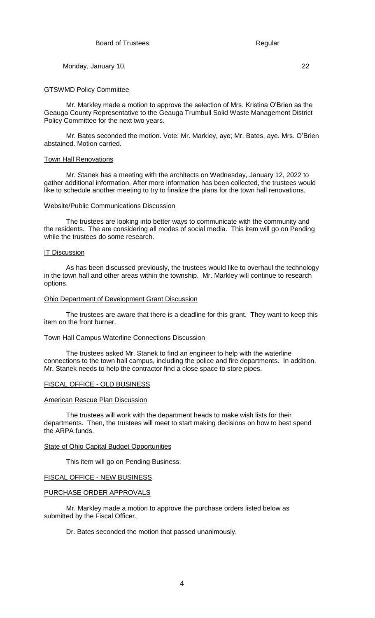## GTSWMD Policy Committee

Mr. Markley made a motion to approve the selection of Mrs. Kristina O'Brien as the Geauga County Representative to the Geauga Trumbull Solid Waste Management District Policy Committee for the next two years.

Mr. Bates seconded the motion. Vote: Mr. Markley, aye; Mr. Bates, aye. Mrs. O'Brien abstained. Motion carried.

# Town Hall Renovations

Mr. Stanek has a meeting with the architects on Wednesday, January 12, 2022 to gather additional information. After more information has been collected, the trustees would like to schedule another meeting to try to finalize the plans for the town hall renovations.

## Website/Public Communications Discussion

The trustees are looking into better ways to communicate with the community and the residents. The are considering all modes of social media. This item will go on Pending while the trustees do some research.

## **IT Discussion**

As has been discussed previously, the trustees would like to overhaul the technology in the town hall and other areas within the township. Mr. Markley will continue to research options.

## Ohio Department of Development Grant Discussion

The trustees are aware that there is a deadline for this grant. They want to keep this item on the front burner.

## Town Hall Campus Waterline Connections Discussion

The trustees asked Mr. Stanek to find an engineer to help with the waterline connections to the town hall campus, including the police and fire departments. In addition, Mr. Stanek needs to help the contractor find a close space to store pipes.

## FISCAL OFFICE - OLD BUSINESS

## American Rescue Plan Discussion

The trustees will work with the department heads to make wish lists for their departments. Then, the trustees will meet to start making decisions on how to best spend the ARPA funds.

## State of Ohio Capital Budget Opportunities

This item will go on Pending Business.

## FISCAL OFFICE - NEW BUSINESS

## PURCHASE ORDER APPROVALS

Mr. Markley made a motion to approve the purchase orders listed below as submitted by the Fiscal Officer.

Dr. Bates seconded the motion that passed unanimously.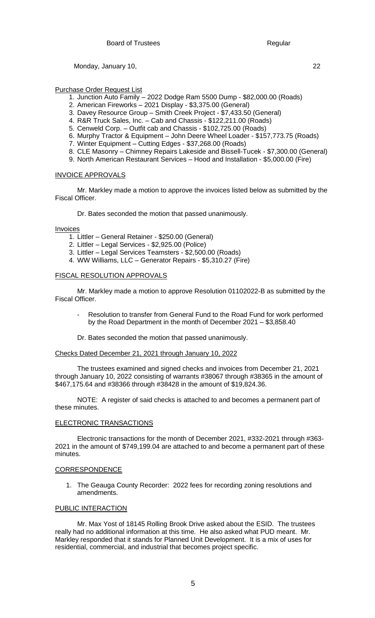Purchase Order Request List

- 1. Junction Auto Family 2022 Dodge Ram 5500 Dump \$82,000.00 (Roads)
- 2. American Fireworks 2021 Display \$3,375.00 (General)
- 3. Davey Resource Group Smith Creek Project \$7,433.50 (General)
- 4. R&R Truck Sales, Inc. Cab and Chassis \$122,211.00 (Roads)
- 5. Cenweld Corp. Outfit cab and Chassis \$102,725.00 (Roads)
- 6. Murphy Tractor & Equipment John Deere Wheel Loader \$157,773.75 (Roads)
- 7. Winter Equipment Cutting Edges \$37,268.00 (Roads)
- 8. CLE Masonry Chimney Repairs Lakeside and Bissell-Tucek \$7,300.00 (General)
- 9. North American Restaurant Services Hood and Installation \$5,000.00 (Fire)

# INVOICE APPROVALS

Mr. Markley made a motion to approve the invoices listed below as submitted by the Fiscal Officer.

Dr. Bates seconded the motion that passed unanimously.

Invoices

- 1. Littler General Retainer \$250.00 (General)
- 2. Littler Legal Services \$2,925.00 (Police)
- 3. Littler Legal Services Teamsters \$2,500.00 (Roads)
- 4. WW Williams, LLC Generator Repairs \$5,310.27 (Fire)

## FISCAL RESOLUTION APPROVALS

Mr. Markley made a motion to approve Resolution 01102022-B as submitted by the Fiscal Officer.

- Resolution to transfer from General Fund to the Road Fund for work performed by the Road Department in the month of December 2021 – \$3,858.40
- Dr. Bates seconded the motion that passed unanimously.

## Checks Dated December 21, 2021 through January 10, 2022

The trustees examined and signed checks and invoices from December 21, 2021 through January 10, 2022 consisting of warrants #38067 through #38365 in the amount of \$467,175.64 and #38366 through #38428 in the amount of \$19,824.36.

NOTE: A register of said checks is attached to and becomes a permanent part of these minutes.

# ELECTRONIC TRANSACTIONS

Electronic transactions for the month of December 2021, #332-2021 through #363- 2021 in the amount of \$749,199.04 are attached to and become a permanent part of these minutes.

## CORRESPONDENCE

1. The Geauga County Recorder: 2022 fees for recording zoning resolutions and amendments.

# PUBLIC INTERACTION

Mr. Max Yost of 18145 Rolling Brook Drive asked about the ESID. The trustees really had no additional information at this time. He also asked what PUD meant. Mr. Markley responded that it stands for Planned Unit Development. It is a mix of uses for residential, commercial, and industrial that becomes project specific.